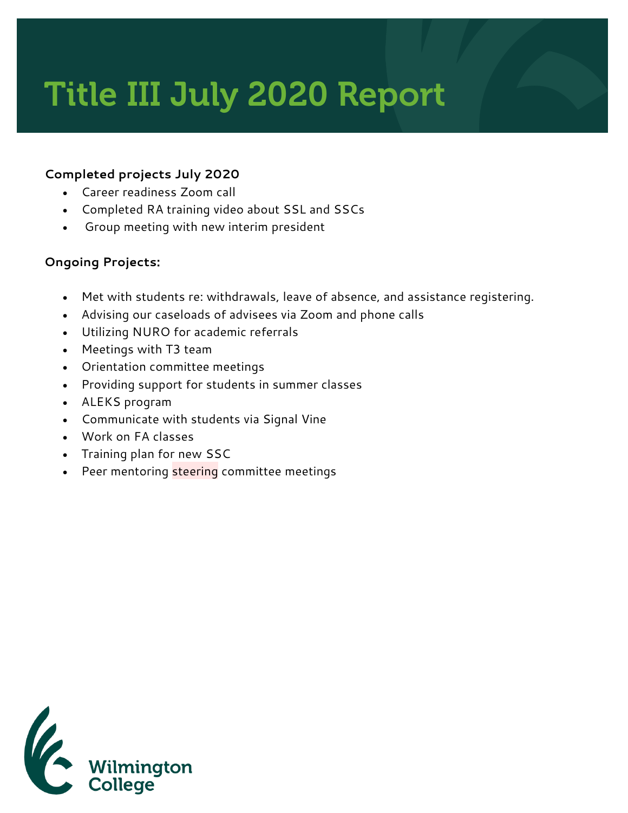## Title III July 2020 Report

## **Completed projects July 2020**

- Career readiness Zoom call
- Completed RA training video about SSL and SSCs
- Group meeting with new interim president

## **Ongoing Projects:**

- Met with students re: withdrawals, leave of absence, and assistance registering.
- Advising our caseloads of advisees via Zoom and phone calls
- Utilizing NURO for academic referrals
- Meetings with T3 team
- Orientation committee meetings
- Providing support for students in summer classes
- ALEKS program
- Communicate with students via Signal Vine
- Work on FA classes
- Training plan for new SSC
- Peer mentoring steering committee meetings

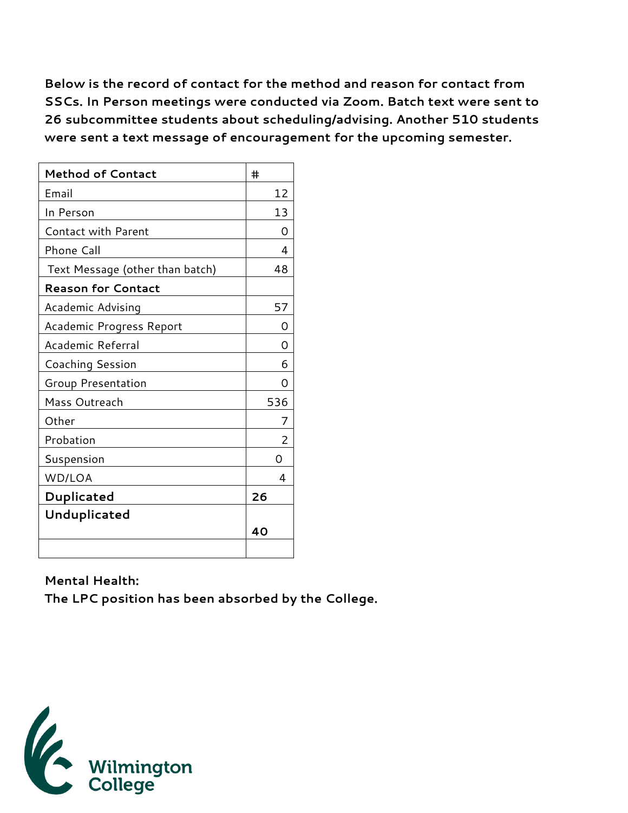**Below is the record of contact for the method and reason for contact from SSCs. In Person meetings were conducted via Zoom. Batch text were sent to 26 subcommittee students about scheduling/advising. Another 510 students were sent a text message of encouragement for the upcoming semester.** 

| <b>Method of Contact</b>        | #   |
|---------------------------------|-----|
| Email                           | 12  |
| In Person                       | 13  |
| <b>Contact with Parent</b>      | O   |
| Phone Call                      | 4   |
| Text Message (other than batch) | 48  |
| <b>Reason for Contact</b>       |     |
| Academic Advising               | 57  |
| Academic Progress Report        | O)  |
| Academic Referral               | ∩   |
| Coaching Session                | 6   |
| Group Presentation              | Ω   |
| Mass Outreach                   | 536 |
| Other                           |     |
| Probation                       | 2   |
| Suspension                      | Ω   |
| WD/LOA                          | 4   |
| Duplicated                      | 26  |
| Unduplicated                    |     |
|                                 | 40  |
|                                 |     |

**Mental Health: The LPC position has been absorbed by the College.**